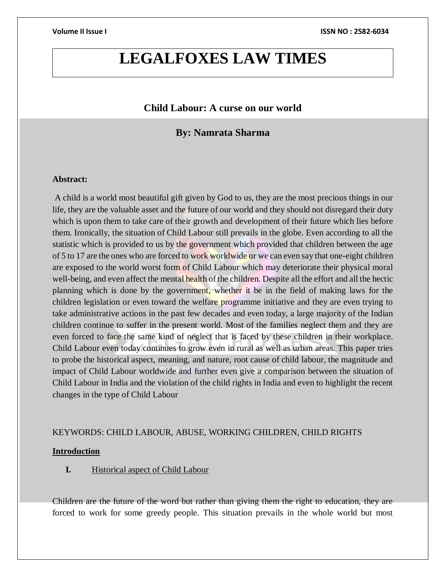## **LEGALFOXES LAW TIMES**

#### **Child Labour: A curse on our world**

### **By: Namrata Sharma**

#### **Abstract:**

A child is a world most beautiful gift given by God to us, they are the most precious things in our life, they are the valuable asset and the future of our world and they should not disregard their duty which is upon them to take care of their growth and development of their future which lies before them. Ironically, the situation of Child Labour still prevails in the globe. Even according to all the statistic which is provided to us by the government which provided that children between the age of 5 to 17 are the ones who are forced to work worldwide or we can even say that one-eight children are exposed to the world worst form of Child Labour which may deteriorate their physical moral well-being, and even affect the mental health of the children. Despite all the effort and all the hectic planning which is done by the government, whether it be in the field of making laws for the children legislation or even toward the welfare programme initiative and they are even trying to take administrative actions in the past few decades and even today, a large majority of the Indian children continue to suffer in the present world. Most of the families neglect them and they are even forced to face the same kind of neglect that is faced by these children in their workplace. Child Labour even today continues to grow even in rural as well as urban areas. This paper tries to probe the historical aspect, meaning, and nature, root cause of child labour, the magnitude and impact of Child Labour worldwide and further even give a comparison between the situation of Child Labour in India and the violation of the child rights in India and even to highlight the recent changes in the type of Child Labour

#### KEYWORDS: CHILD LABOUR, ABUSE, WORKING CHILDREN, CHILD RIGHTS

#### **Introduction**

#### **I.** Historical aspect of Child Labour

Children are the future of the word but rather than giving them the right to education, they are forced to work for some greedy people. This situation prevails in the whole world but most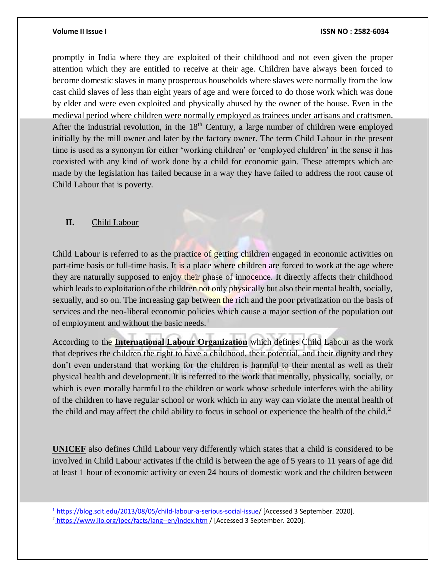promptly in India where they are exploited of their childhood and not even given the proper attention which they are entitled to receive at their age. Children have always been forced to become domestic slaves in many prosperous households where slaves were normally from the low cast child slaves of less than eight years of age and were forced to do those work which was done by elder and were even exploited and physically abused by the owner of the house. Even in the medieval period where children were normally employed as trainees under artisans and craftsmen. After the industrial revolution, in the  $18<sup>th</sup>$  Century, a large number of children were employed initially by the mill owner and later by the factory owner. The term Child Labour in the present time is used as a synonym for either 'working children' or 'employed children' in the sense it has coexisted with any kind of work done by a child for economic gain. These attempts which are made by the legislation has failed because in a way they have failed to address the root cause of Child Labour that is poverty.

#### **II.** Child Labour

l

Child Labour is referred to as the practice of getting children engaged in economic activities on part-time basis or full-time basis. It is a place where children are forced to work at the age where they are naturally supposed to enjoy their phase of innocence. It directly affects their childhood which leads to exploitation of the children not only physically but also their mental health, socially, sexually, and so on. The increasing gap between the rich and the poor privatization on the basis of services and the neo-liberal economic policies which cause a major section of the population out of employment and without the basic needs. $<sup>1</sup>$ </sup>

According to the **International Labour Organization** which defines Child Labour as the work that deprives the children the right to have a childhood, their potential, and their dignity and they don't even understand that working for the children is harmful to their mental as well as their physical health and development. It is referred to the work that mentally, physically, socially, or which is even morally harmful to the children or work whose schedule interferes with the ability of the children to have regular school or work which in any way can violate the mental health of the child and may affect the child ability to focus in school or experience the health of the child.<sup>2</sup>

**UNICEF** also defines Child Labour very differently which states that a child is considered to be involved in Child Labour activates if the child is between the age of 5 years to 11 years of age did at least 1 hour of economic activity or even 24 hours of domestic work and the children between

<span id="page-1-0"></span><sup>1</sup> [https://blog.scit.edu/2013/08/05/child-labour-a-serious-social-issue/](#page-1-0) [Accessed 3 September. 2020].

<span id="page-1-1"></span><sup>&</sup>lt;sup>2</sup> [https://www.ilo.org/ipec/facts/lang--en/index.htm](#page-1-1) / [Accessed 3 September. 2020].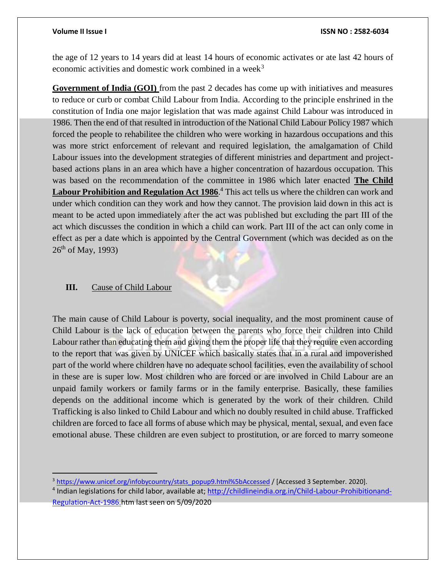the age of 12 years to 14 years did at least 14 hours of economic activates or ate last 42 hours of economic activities and domestic work combined in a week<sup>3</sup>

**Government of India (GOI)** from the past 2 decades has come up with initiatives and measures to reduce or curb or combat Child Labour from India. According to the principle enshrined in the constitution of India one major legislation that was made against Child Labour was introduced in 1986. Then the end of that resulted in introduction of the National Child Labour Policy 1987 which forced the people to rehabilitee the children who were working in hazardous occupations and this was more strict enforcement of relevant and required legislation, the amalgamation of Child Labour issues into the development strategies of different ministries and department and projectbased actions plans in an area which have a higher concentration of hazardous occupation. This was based on the recommendation of the committee in 1986 which later enacted **The Child**  Labour Prohibition and Regulation Act 1986.<sup>4</sup> This act tells us where the children can work and under which condition can they work and how they cannot. The provision laid down in this act is meant to be acted upon immediately after the act was published but excluding the part III of the act which discusses the condition in which a child can work. Part III of the act can only come in effect as per a date which is appointed by the Central Government (which was decided as on the  $26<sup>th</sup>$  of May, 1993)

#### **III.** Cause of Child Labour

The main cause of Child Labour is poverty, social inequality, and the most prominent cause of Child Labour is the lack of education between the parents who force their children into Child Labour rather than educating them and giving them the proper life that they require even according to the report that was given by UNICEF which basically states that in a rural and impoverished part of the world where children have no adequate school facilities, even the availability of school in these are is super low. Most children who are forced or are involved in Child Labour are an unpaid family workers or family farms or in the family enterprise. Basically, these families depends on the additional income which is generated by the work of their children. Child Trafficking is also linked to Child Labour and which no doubly resulted in child abuse. Trafficked children are forced to face all forms of abuse which may be physical, mental, sexual, and even face emotional abuse. These children are even subject to prostitution, or are forced to marry someone

<span id="page-2-0"></span><sup>&</sup>lt;sup>3</sup> [https://www.unicef.org/infobycountry/stats\\_popup9.html%5bAccessed](https://www.unicef.org/infobycountry/stats_popup9.html%5bAccessed) / [Accessed 3 September. 2020].

<sup>&</sup>lt;sup>4</sup> Indian legislations for child labor, available at; [http://childlineindia.org.in/Child-Labour-Prohibitionand-](#page-2-0)[Regulation-Act-1986.h](#page-2-0)tm last seen on 5/09/2020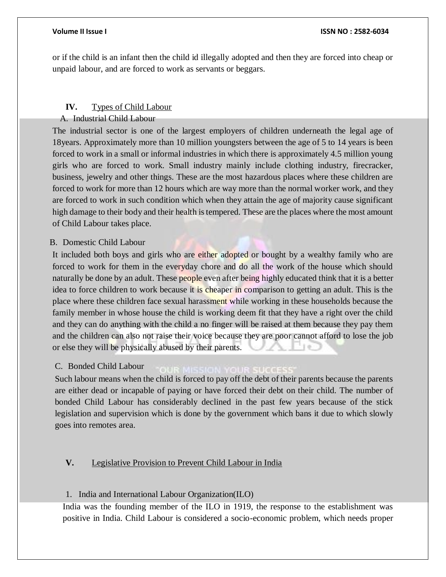or if the child is an infant then the child id illegally adopted and then they are forced into cheap or unpaid labour, and are forced to work as servants or beggars.

### **IV.** Types of Child Labour

A. Industrial Child Labour

The industrial sector is one of the largest employers of children underneath the legal age of 18years. Approximately more than 10 million youngsters between the age of 5 to 14 years is been forced to work in a small or informal industries in which there is approximately 4.5 million young girls who are forced to work. Small industry mainly include clothing industry, firecracker, business, jewelry and other things. These are the most hazardous places where these children are forced to work for more than 12 hours which are way more than the normal worker work, and they are forced to work in such condition which when they attain the age of majority cause significant high damage to their body and their health is tempered. These are the places where the most amount of Child Labour takes place.

### B. Domestic Child Labour

It included both boys and girls who are either adopted or bought by a wealthy family who are forced to work for them in the everyday chore and do all the work of the house which should naturally be done by an adult. These people even after being highly educated think that it is a better idea to force children to work because it is cheaper in comparison to getting an adult. This is the place where these children face sexual harassment while working in these households because the family member in whose house the child is working deem fit that they have a right over the child and they can do anything with the child a no finger will be raised at them because they pay them and the children can also not raise their voice because they are poor cannot afford to lose the job or else they will be physically abused by their parents.

#### C. Bonded Child Labour

Such labour means when the child is forced to pay off the debt of their parents because the parents are either dead or incapable of paying or have forced their debt on their child. The number of bonded Child Labour has considerably declined in the past few years because of the stick legislation and supervision which is done by the government which bans it due to which slowly goes into remotes area.

### **V.** Legislative Provision to Prevent Child Labour in India

#### 1. India and International Labour Organization(ILO)

India was the founding member of the ILO in 1919, the response to the establishment was positive in India. Child Labour is considered a socio-economic problem, which needs proper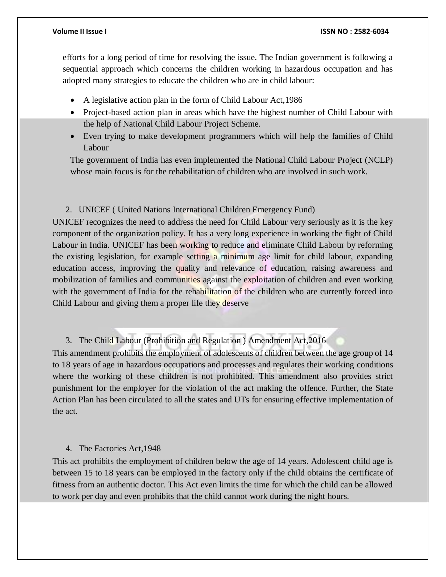efforts for a long period of time for resolving the issue. The Indian government is following a sequential approach which concerns the children working in hazardous occupation and has adopted many strategies to educate the children who are in child labour:

- A legislative action plan in the form of Child Labour Act,1986
- Project-based action plan in areas which have the highest number of Child Labour with the help of National Child Labour Project Scheme.
- Even trying to make development programmers which will help the families of Child Labour

The government of India has even implemented the National Child Labour Project (NCLP) whose main focus is for the rehabilitation of children who are involved in such work.

#### 2. UNICEF ( United Nations International Children Emergency Fund)

UNICEF recognizes the need to address the need for Child Labour very seriously as it is the key component of the organization policy. It has a very long experience in working the fight of Child Labour in India. UNICEF has been working to reduce and eliminate Child Labour by reforming the existing legislation, for example setting a minimum age limit for child labour, expanding education access, improving the quality and relevance of education, raising awareness and mobilization of families and communities against the exploitation of children and even working with the government of India for the rehabilitation of the children who are currently forced into Child Labour and giving them a proper life they deserve

3. The Child Labour (Prohibition and Regulation ) Amendment Act,2016

This amendment prohibits the employment of adolescents of children between the age group of 14 to 18 years of age in hazardous occupations and processes and regulates their working conditions where the working of these children is not prohibited. This amendment also provides strict punishment for the employer for the violation of the act making the offence. Further, the State Action Plan has been circulated to all the states and UTs for ensuring effective implementation of the act.

#### 4. The Factories Act,1948

This act prohibits the employment of children below the age of 14 years. Adolescent child age is between 15 to 18 years can be employed in the factory only if the child obtains the certificate of fitness from an authentic doctor. This Act even limits the time for which the child can be allowed to work per day and even prohibits that the child cannot work during the night hours.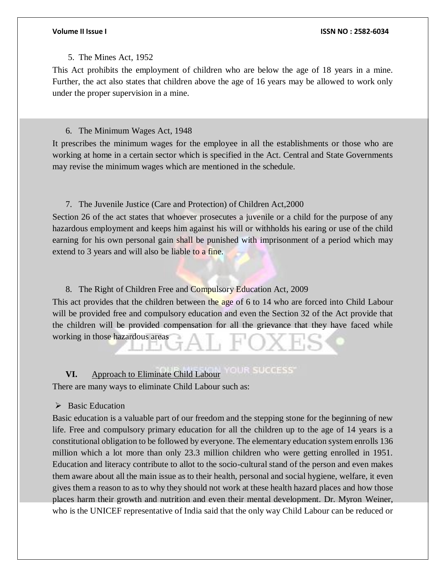#### 5. The Mines Act, 1952

This Act prohibits the employment of children who are below the age of 18 years in a mine. Further, the act also states that children above the age of 16 years may be allowed to work only under the proper supervision in a mine.

#### 6. The Minimum Wages Act, 1948

It prescribes the minimum wages for the employee in all the establishments or those who are working at home in a certain sector which is specified in the Act. Central and State Governments may revise the minimum wages which are mentioned in the schedule.

### 7. The Juvenile Justice (Care and Protection) of Children Act,2000

Section 26 of the act states that whoever prosecutes a juvenile or a child for the purpose of any hazardous employment and keeps him against his will or withholds his earing or use of the child earning for his own personal gain shall be punished with imprisonment of a period which may extend to 3 years and will also be liable to a fine.

#### 8. The Right of Children Free and Compulsory Education Act, 2009

This act provides that the children between the age of 6 to 14 who are forced into Child Labour will be provided free and compulsory education and even the Section 32 of the Act provide that the children will be provided compensation for all the grievance that they have faced while working in those hazardous areas

#### **OUR SUCCESS VI.** Approach to Eliminate Child Labour

There are many ways to eliminate Child Labour such as:

#### $\triangleright$  Basic Education

Basic education is a valuable part of our freedom and the stepping stone for the beginning of new life. Free and compulsory primary education for all the children up to the age of 14 years is a constitutional obligation to be followed by everyone. The elementary education system enrolls 136 million which a lot more than only 23.3 million children who were getting enrolled in 1951. Education and literacy contribute to allot to the socio-cultural stand of the person and even makes them aware about all the main issue as to their health, personal and social hygiene, welfare, it even gives them a reason to as to why they should not work at these health hazard places and how those places harm their growth and nutrition and even their mental development. Dr. Myron Weiner, who is the UNICEF representative of India said that the only way Child Labour can be reduced or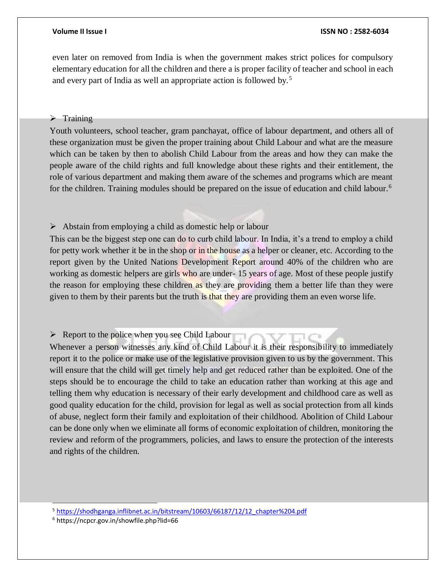even later on removed from India is when the government makes strict polices for compulsory elementary education for all the children and there a is proper facility of teacher and school in each and every part of India as well an appropriate action is followed by.<sup>5</sup>

#### $\triangleright$  Training

Youth volunteers, school teacher, gram panchayat, office of labour department, and others all of these organization must be given the proper training about Child Labour and what are the measure which can be taken by then to abolish Child Labour from the areas and how they can make the people aware of the child rights and full knowledge about these rights and their entitlement, the role of various department and making them aware of the schemes and programs which are meant for the children. Training modules should be prepared on the issue of education and child labour.<sup>6</sup>

#### $\triangleright$  Abstain from employing a child as domestic help or labour

This can be the biggest step one can do to curb child labour. In India, it's a trend to employ a child for petty work whether it be in the shop or in the house as a helper or cleaner, etc. According to the report given by the United Nations Development Report around 40% of the children who are working as domestic helpers are girls who are under-15 years of age. Most of these people justify the reason for employing these children as they are providing them a better life than they were given to them by their parents but the truth is that they are providing them an even worse life.

### $\triangleright$  Report to the police when you see Child Labour

Whenever a person witnesses any kind of Child Labour it is their responsibility to immediately report it to the police or make use of the legislative provision given to us by the government. This will ensure that the child will get timely help and get reduced rather than be exploited. One of the steps should be to encourage the child to take an education rather than working at this age and telling them why education is necessary of their early development and childhood care as well as good quality education for the child, provision for legal as well as social protection from all kinds of abuse, neglect form their family and exploitation of their childhood. Abolition of Child Labour can be done only when we eliminate all forms of economic exploitation of children, monitoring the review and reform of the programmers, policies, and laws to ensure the protection of the interests and rights of the children.

<sup>5</sup> [https://shodhganga.inflibnet.ac.in/bitstream/10603/66187/12/12\\_chapter%204.pdf](https://shodhganga.inflibnet.ac.in/bitstream/10603/66187/12/12_chapter%204.pdf)

<sup>6</sup> https://ncpcr.gov.in/showfile.php?lid=66

l